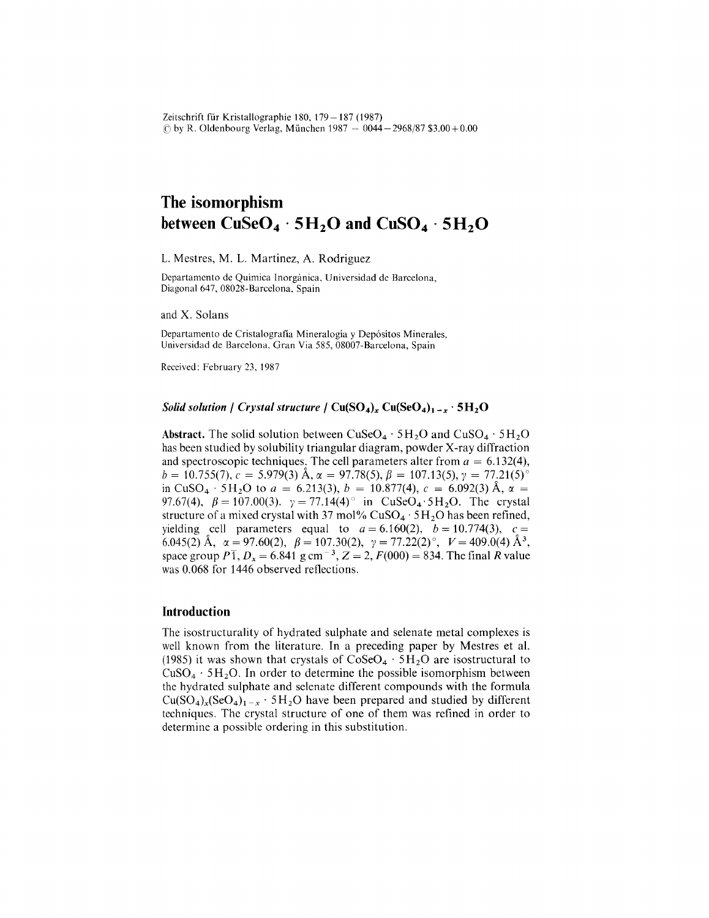Zeitschrift für Kristallographie 180, 179 - 187 (1987)  $\odot$  by R. Oldenbourg Verlag, München 1987  $-$  0044 $-$ 2968/87 \$3.00+0.

# **The isomorphism between**  $CuSeO<sub>4</sub> \cdot 5H<sub>2</sub>O$  and  $CuSO<sub>4</sub> \cdot 5H<sub>2</sub>O$

L. Mestres, M. L. Martinez, A. Rodriguez

Departamento de Quimica lnorganica. Universidad de Barcelona, Diagonal 647, 08028-Barcelona, Spain

and X. Solans

Departamento de Cristalografía Mineralogía y Depósitos Minerales, Universidad de Barcelona, Gran Via 585, 08007-Barcelona, Spain

Received: February 23,1987

#### *Solid solution* / *Crystal structure* /  $Cu(SO<sub>4</sub>)<sub>x</sub> Cu(SeO<sub>4</sub>)<sub>1-x</sub> · 5H<sub>2</sub>O$

Abstract. The solid solution between  $CuSeO<sub>4</sub> \cdot 5H<sub>2</sub>O$  and  $CuSO<sub>4</sub> \cdot 5H<sub>2</sub>O$ has been studied by solubility triangular diagram, powder X-ray diffraction and spectroscopic techniques. The cell parameters alter from  $a = 6.132(4)$ ,  $b = 10.755(7)$ ,  $c = 5.979(3)$  Å,  $\alpha = 97.78(5)$ ,  $\beta = 107.13(5)$ ,  $\gamma = 77.21(5)$ ° in CuSO<sub>4</sub>  $\cdot$  5H<sub>2</sub>O to *a* = 6.213(3), *b* = 10.877(4), *c* = 6.092(3) Å,  $\alpha$  = *97.67(4),*  $\beta = 107.00(3)$ .  $\gamma = 77.14(4)$  in CuSeO<sub>4</sub> 5H<sub>2</sub>O. The crystal structure of a mixed crystal with 37 mol%  $CuSO<sub>4</sub> \cdot 5H<sub>2</sub>O$  has been refined, yielding cell parameters equal to  $a = 6.160(2)$ ,  $b = 10.774(3)$ ,  $c =$ 6.045(2)  $\text{\AA}$ ,  $\alpha = 97.60(2)$ ,  $\beta = 107.30(2)$ ,  $\gamma = 77.22(2)$ °,  $V = 409.0(4)$   $\text{\AA}^3$ . space group  $P\overline{1}$ ,  $D_x = 6.841$  g cm<sup>-3</sup>,  $Z = 2$ ,  $F(000) = 834$ . The final *R* value was 0.068 for 1446 observed reflections.

#### **Introduction**

The isostructurality of hydrated sulphate and selenate metal complexes is well known from the literature. In a preceding paper by Mestres et al. (1985) it was shown that crystals of  $CoSeO<sub>4</sub> \cdot 5H<sub>2</sub>O$  are isostructural to  $CuSO<sub>4</sub> \cdot 5H<sub>2</sub>O$ . In order to determine the possible isomorphism between the hydrated sulphate and selenate different compounds with the formula  $Cu(SO<sub>4</sub>)<sub>x</sub>(SeO<sub>4</sub>)<sub>1-x</sub> · 5H<sub>2</sub>O$  have been prepared and studied by different techniques. The crystal structure of one of them was refined in order to determine a possible ordering in this substitution.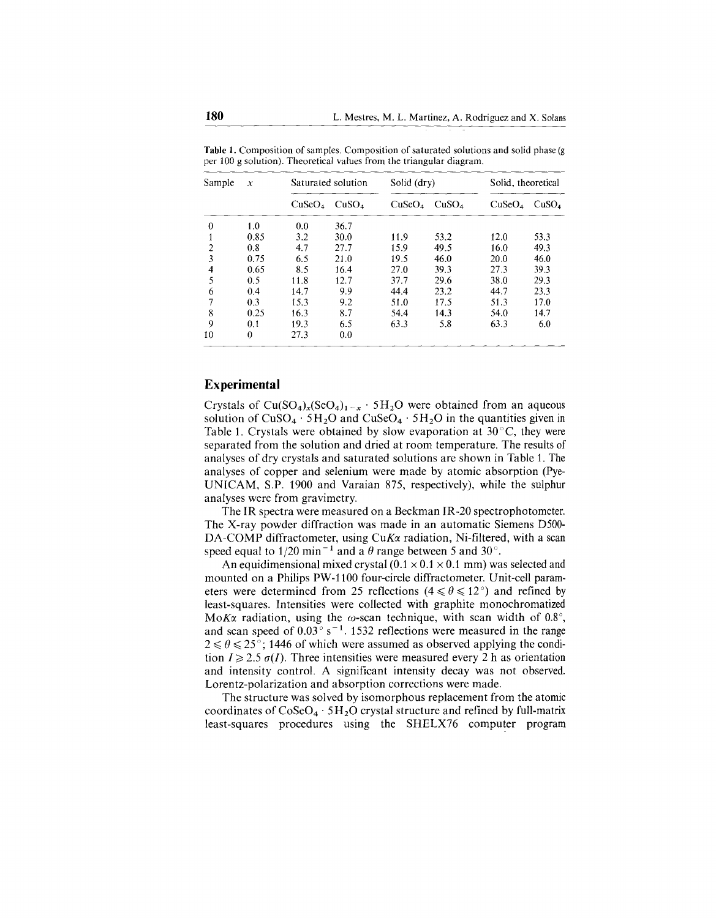| Sample | $\mathcal{X}$ | Saturated solution |                   | Solid (dry)        |                   | Solid, theoretical |                   |
|--------|---------------|--------------------|-------------------|--------------------|-------------------|--------------------|-------------------|
|        |               | CuSeO <sub>4</sub> | CuSO <sub>4</sub> | CuSeO <sub>4</sub> | CuSO <sub>4</sub> | CuSeO <sub>4</sub> | CuSO <sub>4</sub> |
| 0      | 1.0           | 0.0                | 36.7              |                    |                   |                    |                   |
|        | 0.85          | 3.2                | 30.0              | 11.9               | 53.2              | 12.0               | 53.3              |
| 2      | 0.8           | 4.7                | 27.7              | 15.9               | 49.5              | 16.0               | 49.3              |
| 3      | 0.75          | 6.5                | 21.0              | 19.5               | 46.0              | 20.0               | 46.0              |
| 4      | 0.65          | 8.5                | 16.4              | 27.0               | 39.3              | 27.3               | 39.3              |
| 5      | 0.5           | 11.8               | 12.7              | 37.7               | 29.6              | 38.0               | 29.3              |
| 6      | 0.4           | 14.7               | 9.9               | 44.4               | 23.2              | 44.7               | 23.3              |
| 7      | 0.3           | 15.3               | 9.2               | 51.0               | 17.5              | 51.3               | 17.0              |
| 8      | 0.25          | 16.3               | 8.7               | 54.4               | 14.3              | 54.0               | 14.7              |
| 9      | 0.1           | 19.3               | 6.5               | 63.3               | 5.8               | 63.3               | 6.0               |
| 10     | 0             | 27.3               | 0.0               |                    |                   |                    |                   |

Table 1. Composition of samples. Composition of saturated solutions and solid phase (g per 100 g solution). Theoretical values from the triangular diagram.

#### **Experimental**

Crystals of  $Cu(SO<sub>4</sub>)<sub>x</sub>(SeO<sub>4</sub>)<sub>1-x</sub> \cdot 5H<sub>2</sub>O$  were obtained from an aqueous solution of  $CuSO_4 \cdot 5H_2O$  and  $CuSeO_4 \cdot 5H_2O$  in the quantities given in Table 1. Crystals were obtained by slow evaporation at  $30^{\circ}$ C, they were separated from the solution and dried at room temperature. The results of analyses of dry crystals and saturated solutions are shown in Table 1. The analyses of copper and selenium were made by atomic absorption (Pye-UNICAM, S.P. 1900 and Varaian 875, respectively), while the sulphur analyses were from gravimetry.

The IR spectra were measured on a Beckman IR-20 spectrophotometer. The X-ray powder diffraction was made in an automatic Siemens D500- DA-COMP diffractometer, using CuKa radiation, Ni-filtered, with a scan speed equal to  $1/20$  min<sup>-1</sup> and a  $\theta$  range between 5 and 30<sup>o</sup>.

An equidimensional mixed crystal  $(0.1 \times 0.1 \times 0.1 \text{ mm})$  was selected and mounted on a Philips PW-1100 four-circle diffractometer. Unit-cell parameters were determined from 25 reflections ( $4 \le \theta \le 12^{\circ}$ ) and refined by least-squares. Intensities were collected with graphite monochromatized  $M\alpha K\alpha$  radiation, using the  $\omega$ -scan technique, with scan width of 0.8°, and scan speed of  $0.03^{\circ}$  s<sup>-1</sup>. 1532 reflections were measured in the range  $2 \le \theta \le 25$ °; 1446 of which were assumed as observed applying the condition  $I \geq 2.5 \sigma(I)$ . Three intensities were measured every 2 h as orientation and intensity control. A significant intensity decay was not observed. Lorentz-polarization and absorption corrections were made.

The structure was solved by isomorphous replacement from the atomic coordinates of  $CoSeO<sub>4</sub> \cdot 5H<sub>2</sub>O$  crystal structure and refined by full-matrix least-squares procedures using the SHELX76 computer program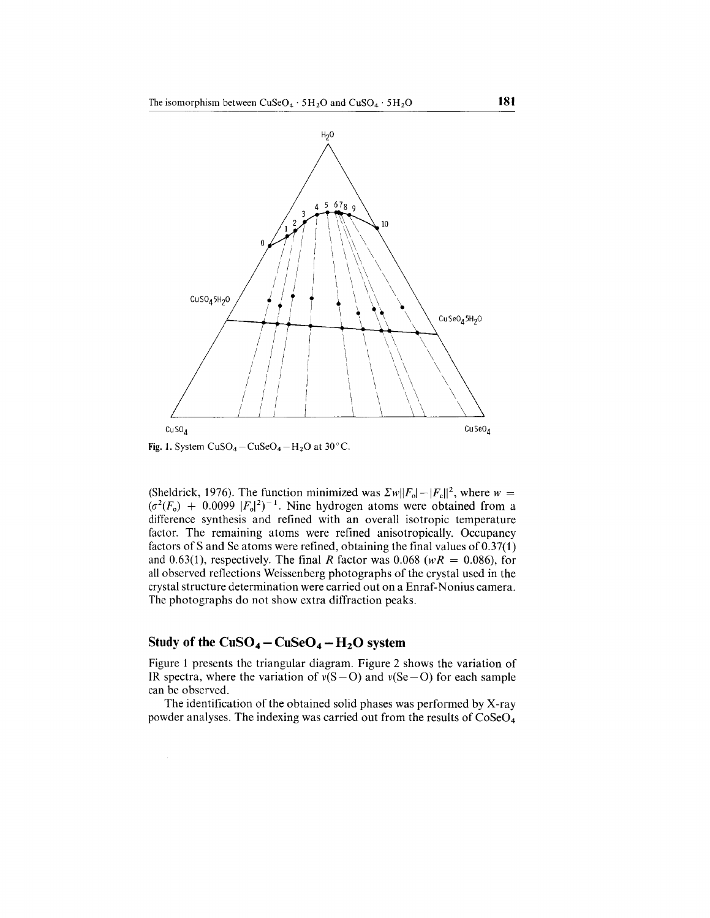

(Sheldrick, 1976). The function minimized was  $\sum w||F_0| - |F_c||^2$ , where  $w =$  $(\sigma^2(F_o) + 0.0099 |F_o|^2)^{-1}$ . Nine hydrogen atoms were obtained from a difference synthesis and refined with an overall isotropic temperature factor. The remaining atoms were refined anisotropically. Occupancy factors of S and Se atoms were refined, obtaining the final values of  $0.37(1)$ and  $0.63(1)$ , respectively. The final *R* factor was  $0.068$  ( $wR = 0.086$ ), for all observed reflections Weissenberg photographs of the crystal used in the crystal structure determination were carried out on a Enraf-Nonius camera. The photographs do not show extra diffraction peaks.

### **Study** of the  $CuSO_4 - CuSeO_4 - H_2O$  system

Figure 1 presents the triangular diagram. Figure 2 shows the variation of IR spectra, where the variation of  $v(S - O)$  and  $v(Se - O)$  for each sample can be observed.

The identification of the obtained solid phases was performed by X-ray powder analyses. The indexing was carried out from the results of  $CoSeO<sub>4</sub>$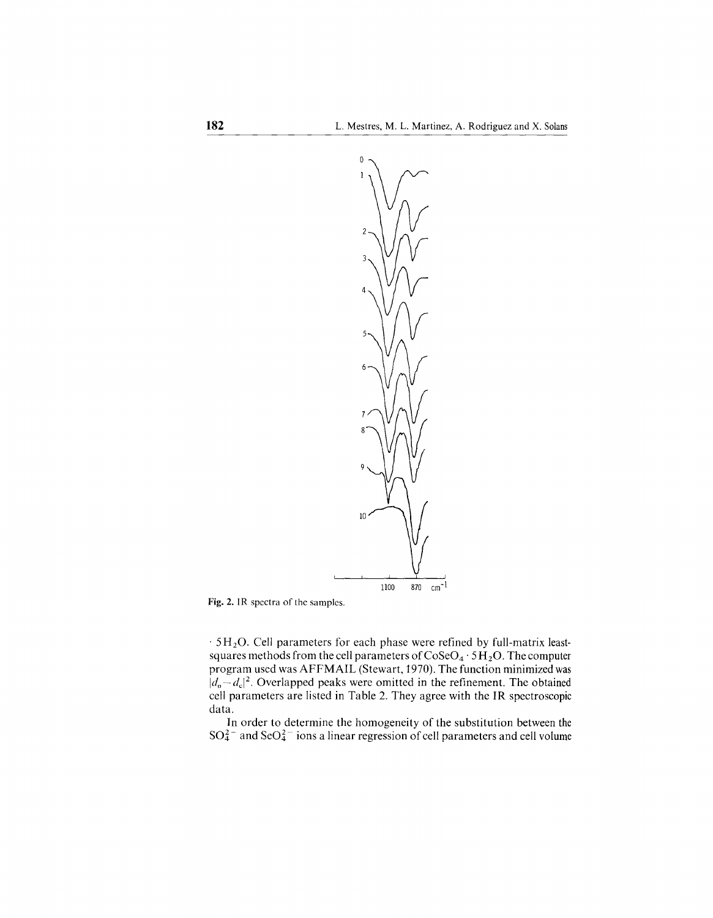

Fig. 2. IR spectra of the samples.

 $.5H<sub>2</sub>O$ . Cell parameters for each phase were refined by full-matrix leastsquares methods from the cell parameters of  $\text{CoSeO}_4 \cdot 5\text{H}_2\text{O}$ . The computer program used was AFFMAIL (Stewart, 1970). The function minimized was  $|d_{o}-d_{c}|^{2}$ . Overlapped peaks were omitted in the refinement. The obtained cell parameters are listed in Table 2. They agree with the IR spectroscopic data.

In order to determine the homogeneity of the substitution between the  $SO_4^{2-}$  and  $SeO_4^{2-}$  ions a linear regression of cell parameters and cell volume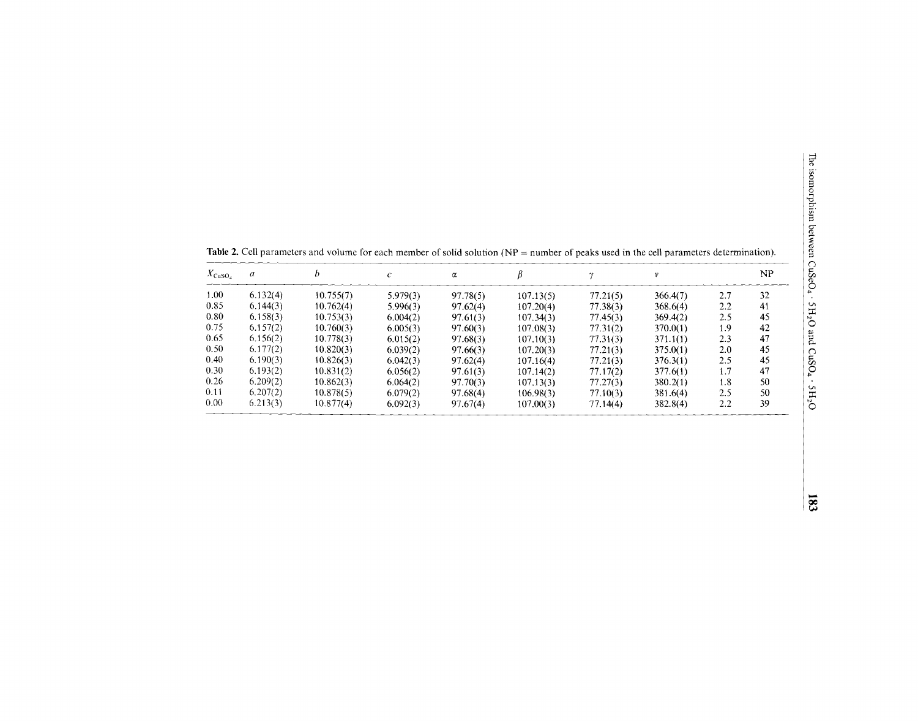| $X_{\text{CuSO}_4}$ | a        |           |          | α        |           |          |          |     | NP |
|---------------------|----------|-----------|----------|----------|-----------|----------|----------|-----|----|
| 1.00                | 6.132(4) | 10.755(7) | 5.979(3) | 97.78(5) | 107.13(5) | 77.21(5) | 366.4(7) | 2.7 | 32 |
| 0.85                | 6.144(3) | 10.762(4) | 5.996(3) | 97.62(4) | 107.20(4) | 77.38(3) | 368.6(4) | 2.2 | 41 |
| 0.80                | 6.158(3) | 10.753(3) | 6.004(2) | 97.61(3) | 107.34(3) | 77.45(3) | 369.4(2) | 2.5 | 45 |
| 0.75                | 6.157(2) | 10.760(3) | 6.005(3) | 97.60(3) | 107.08(3) | 77.31(2) | 370.0(1) | 1.9 | 42 |
| 0.65                | 6.156(2) | 10.778(3) | 6.015(2) | 97.68(3) | 107.10(3) | 77.31(3) | 371.1(1) | 2.3 | 47 |
| 0.50                | 6.177(2) | 10.820(3) | 6.039(2) | 97.66(3) | 107,20(3) | 77.21(3) | 375.0(1) | 2.0 | 45 |
| 0.40                | 6.190(3) | 10.826(3) | 6.042(3) | 97.62(4) | 107.16(4) | 77.21(3) | 376.3(1) | 2.5 | 45 |
| 0.30                | 6.193(2) | 10.831(2) | 6.056(2) | 97.61(3) | 107.14(2) | 77.17(2) | 377.6(1) | 1.7 | 47 |
| 0.26                | 6.209(2) | 10.862(3) | 6.064(2) | 97.70(3) | 107.13(3) | 77.27(3) | 380.2(1) | 1.8 | 50 |
| 0.11                | 6.207(2) | 10.878(5) | 6.079(2) | 97.68(4) | 106.98(3) | 77.10(3) | 381.6(4) | 2.5 | 50 |
| $0.00 -$            | 6.213(3) | 10.877(4) | 6.092(3) | 97.67(4) | 107.00(3) | 77.14(4) | 382.8(4) | 2.2 | 39 |

Table 2. Cell parameters and volume for each member of solid solution (NP = number of peaks used in the cell parameters determination).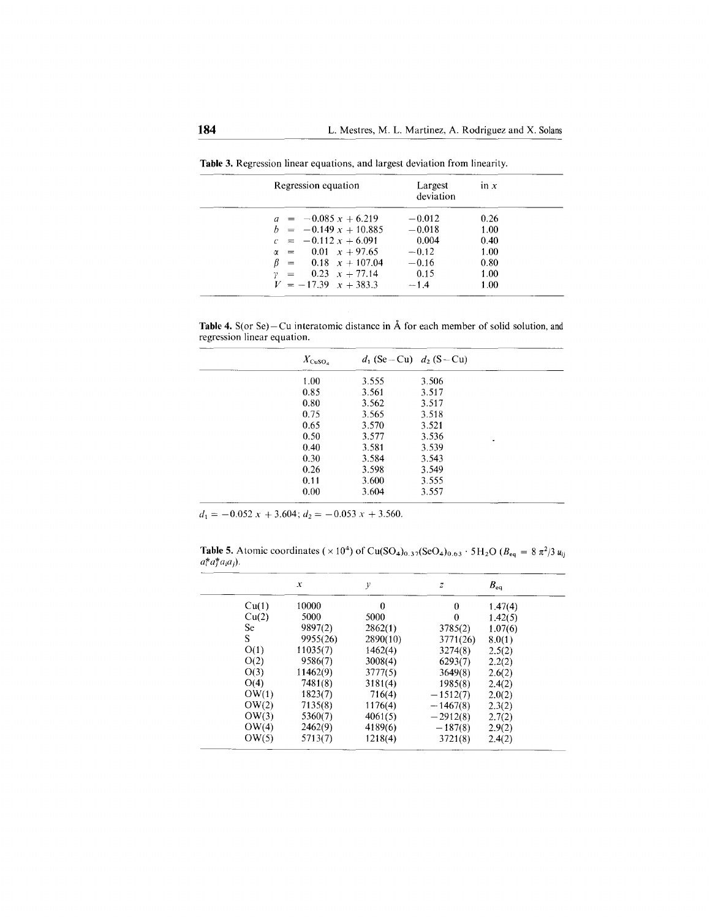| Regression equation          | Largest<br>deviation | $\ln x$ |  |  |
|------------------------------|----------------------|---------|--|--|
| $a = -0.085 x + 6.219$       | $-0.012$             | 0.26    |  |  |
| $b = -0.149 x + 10.885$      | $-0.018$             | 1.00    |  |  |
| $c = -0.112 x + 6.091$       | 0.004                | 0.40    |  |  |
| $\alpha = 0.01 \times 97.65$ | $-0.12$              | 1.00    |  |  |
| $\beta = 0.18 \times 107.04$ | $-0.16$              | 0.80    |  |  |
| $y = 0.23 \t x + 77.14$      | 0.15                 | 1.00    |  |  |
| $V = -17.39 \times 14.383.3$ | $-1.4$               | 1.00    |  |  |

**Table** 3. Regression linear equations, and largest deviation from linearity.

**Table 4.** S(or Se) – Cu interatomic distance in  $\hat{A}$  for each member of solid solution, and regression linear equation.

| $X_{\rm CuSO_4}$ |       | $d_1$ (Se – Cu) $d_2$ (S – Cu) |   |  |
|------------------|-------|--------------------------------|---|--|
| 1.00             | 3.555 | 3.506                          |   |  |
| 0.85             | 3.561 | 3.517                          |   |  |
| 0.80             | 3.562 | 3.517                          |   |  |
| 0.75             | 3.565 | 3.518                          |   |  |
| 0.65             | 3.570 | 3.521                          |   |  |
| 0.50             | 3.577 | 3.536                          | ٠ |  |
| 0.40             | 3.581 | 3.539                          |   |  |
| 0.30             | 3.584 | 3.543                          |   |  |
| 0.26             | 3.598 | 3.549                          |   |  |
| 0.11             | 3.600 | 3.555                          |   |  |
| 0.00             | 3.604 | 3.557                          |   |  |
|                  |       |                                |   |  |

 $d_1 = -0.052 x + 3.604$ ;  $d_2 = -0.053 x + 3.560$ .

**Table 5.** Atomic coordinates ( $\times 10^4$ ) of Cu(SO<sub>4</sub>)<sub>0.37</sub>(SeO<sub>4</sub>)<sub>0.63</sub> · 5H<sub>2</sub>O ( $B_{eq} = 8 \pi^2/3 u_{ij}$  $a_i^* a_j^* a_i a_j$ ).

|       | $\boldsymbol{x}$ | у        | z            | $B_{ea}$ |
|-------|------------------|----------|--------------|----------|
| Cu(1) | 10000            | $\Omega$ | $\bf{0}$     | 1.47(4)  |
| Cu(2) | 5000             | 5000     | $\mathbf{0}$ | 1.42(5)  |
| Se    | 9897(2)          | 2862(1)  | 3785(2)      | 1.07(6)  |
| S.    | 9955(26)         | 2890(10) | 3771(26)     | 8.0(1)   |
| O(1)  | 11035(7)         | 1462(4)  | 3274(8)      | 2.5(2)   |
| O(2)  | 9586(7)          | 3008(4)  | 6293(7)      | 2.2(2)   |
| O(3)  | 11462(9)         | 3777(5)  | 3649(8)      | 2.6(2)   |
| O(4)  | 7481(8)          | 3181(4)  | 1985(8)      | 2.4(2)   |
| OW(1) | 1823(7)          | 716(4)   | $-1512(7)$   | 2.0(2)   |
| OW(2) | 7135(8)          | 1176(4)  | $-1467(8)$   | 2.3(2)   |
| OW(3) | 5360(7)          | 4061(5)  | $-2912(8)$   | 2.7(2)   |
| OW(4) | 2462(9)          | 4189(6)  | $-187(8)$    | 2.9(2)   |
| OW(5) | 5713(7)          | 1218(4)  | 3721(8)      | 2.4(2)   |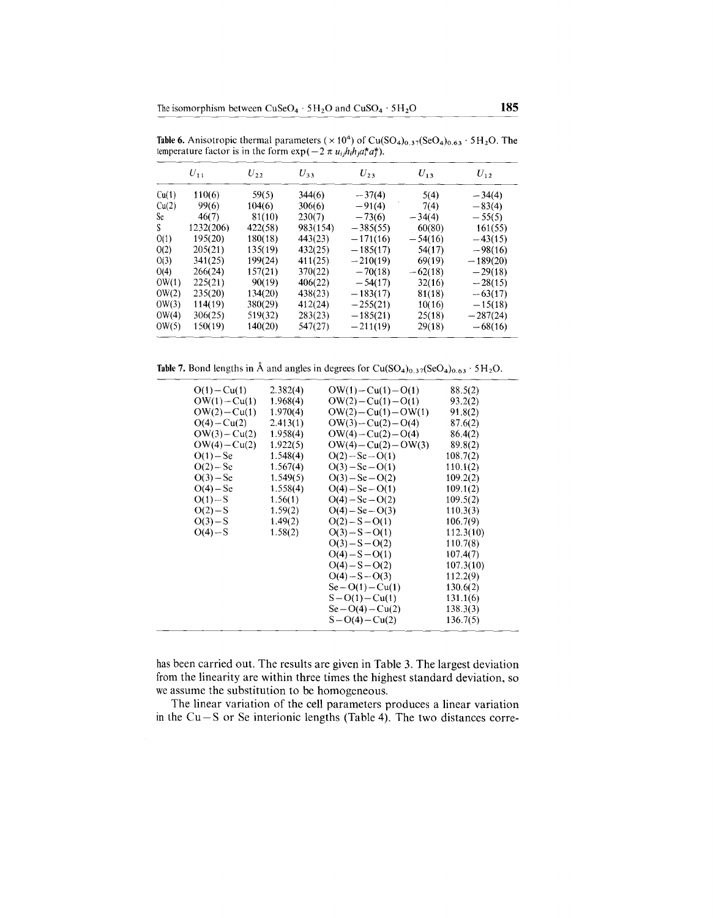Table 6. Anisotropic thermal parameters ( $\times 10^4$ ) of Cu(SO<sub>4</sub>)<sub>0.37</sub>(SeO<sub>4</sub>)<sub>0.63</sub> · 5H<sub>2</sub>O. The temperature factor is in the form  $\exp(-2\pi u_{ij}h_i h_j a_i^* a_j^*$ 

|       | $U_{11}$  | $U_{22}$ | $U_{33}$ | $U_{23}$   | $U_{13}$  | $U_{12}$   |
|-------|-----------|----------|----------|------------|-----------|------------|
| Cu(1) | 110(6)    | 59(5)    | 344(6)   | $-37(4)$   | 5(4)      | $-34(4)$   |
| Cu(2) | 99(6)     | 104(6)   | 306(6)   | $-91(4)$   | 7(4)      | $-83(4)$   |
| Se -  | 46(7)     | 81(10)   | 230(7)   | $-73(6)$   | $-34(4)$  | $-55(5)$   |
| S.    | 1232(206) | 422(58)  | 983(154) | $-385(55)$ | 60(80)    | 161(55)    |
| O(1)  | 195(20)   | 180(18)  | 443(23)  | $-171(16)$ | $-54(16)$ | $-43(15)$  |
| O(2)  | 205(21)   | 135(19)  | 432(25)  | $-185(17)$ | 54(17)    | $-98(16)$  |
| O(3)  | 341(25)   | 199(24)  | 411(25)  | $-210(19)$ | 69(19)    | $-189(20)$ |
| O(4)  | 266(24)   | 157(21)  | 370(22)  | $-70(18)$  | $-62(18)$ | $-29(18)$  |
| OW(1) | 225(21)   | 90(19)   | 406(22)  | $-54(17)$  | 32(16)    | $-28(15)$  |
| OW(2) | 235(20)   | 134(20)  | 438(23)  | $-183(17)$ | 81(18)    | $-63(17)$  |
| OW(3) | 114(19)   | 380(29)  | 412(24)  | $-255(21)$ | 10(16)    | $-15(18)$  |
| OW(4) | 306(25)   | 519(32)  | 283(23)  | $-185(21)$ | 25(18)    | $-287(24)$ |
| OW(5) | 150(19)   | 140(20)  | 547(27)  | $-211(19)$ | 29(18)    | $-68(16)$  |

Table 7. Bond lengths in Å and angles in degrees for  $Cu(SO<sub>4</sub>)<sub>0.37</sub>(SeO<sub>4</sub>)<sub>0.63</sub> · 5H<sub>2</sub>O.$ 

| $O(1) - Cu(1)$  | 2.382(4) | $OW(1) - Cu(1) - O(1)$  | 88.5(2)   |
|-----------------|----------|-------------------------|-----------|
| $OW(1) - Cu(1)$ | 1.968(4) | $OW(2) - Cu(1) - O(1)$  | 93.2(2)   |
| $OW(2) - Cu(1)$ | 1.970(4) | $OW(2) - Cu(1) - OW(1)$ | 91.8(2)   |
| $O(4) - Cu(2)$  | 2.413(1) | $OW(3) - Cu(2) - O(4)$  | 87.6(2)   |
| $OW(3) - Cu(2)$ | 1.958(4) | $OW(4) - Cu(2) - O(4)$  | 86.4(2)   |
| $OW(4)-Cu(2)$   | 1.922(5) | $OW(4) - Cu(2) - OW(3)$ | 89.8(2)   |
| $O(1) - Se$     | 1.548(4) | $O(2) - Se - O(1)$      | 108.7(2)  |
| $O(2) - Se$     | 1.567(4) | $O(3) - Se - O(1)$      | 110.1(2)  |
| $O(3) - Se$     | 1.549(5) | $O(3) - Se - O(2)$      | 109.2(2)  |
| $O(4) - Se$     | 1.558(4) | $O(4) - Se - O(1)$      | 109.1(2)  |
| $O(1) - S$      | 1.56(1)  | $O(4) - Se - O(2)$      | 109.5(2)  |
| $O(2) - S$      | 1.59(2)  | $O(4) - Se - O(3)$      | 110.3(3)  |
| $O(3) - S$      | 1.49(2)  | $O(2) - S - O(1)$       | 106.7(9)  |
| $O(4) - S$      | 1.58(2)  | $O(3) - S - O(1)$       | 112.3(10) |
|                 |          | $O(3) - S - O(2)$       | 110.7(8)  |
|                 |          | $O(4) - S - O(1)$       | 107.4(7)  |
|                 |          | $O(4) - S - O(2)$       | 107.3(10) |
|                 |          | $O(4) - S - O(3)$       | 112.2(9)  |
|                 |          | $Se-O(1)-Cu(1)$         | 130.6(2)  |
|                 |          | $S - O(1) - Cu(1)$      | 131.1(6)  |
|                 |          | $Se-O(4)-Cu(2)$         | 138.3(3)  |
|                 |          | $S - O(4) - Cu(2)$      | 136.7(5)  |
|                 |          |                         |           |

has been carried out. The results are given in Table 3. The largest deviation from the linearity are within three times the highest standard deviation, so we assume the substitution to be homogeneous.

The linear variation of the cell parameters produces a linear variation in the  $Cu-S$  or Se interionic lengths (Table 4). The two distances corre-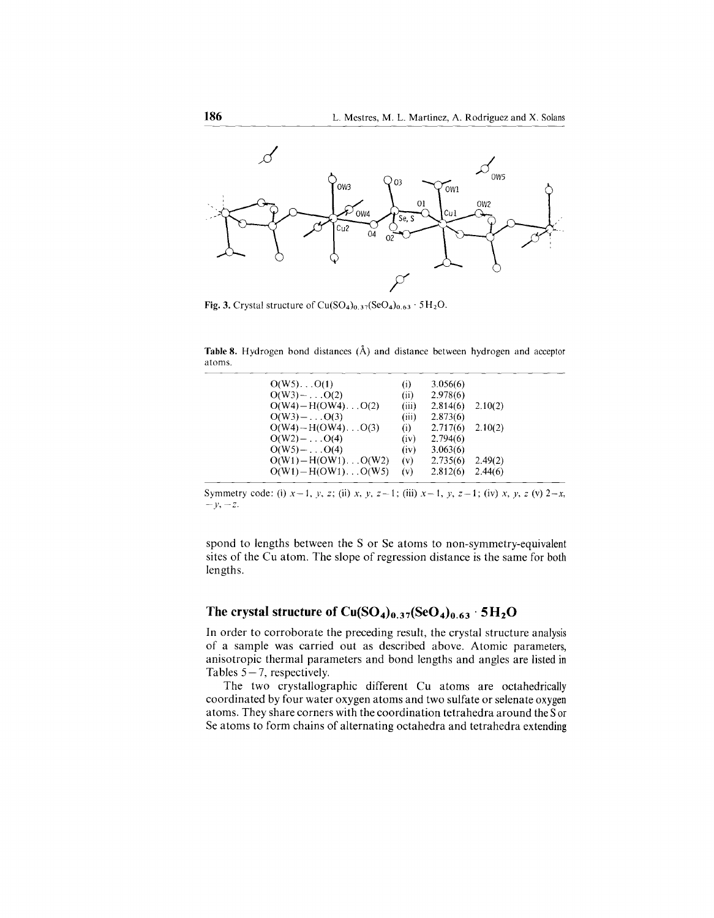

Fig. 3. Crystal structure of Cu(SO<sub>4</sub>)<sub>0.37</sub>(SeO<sub>4</sub>)<sub>0.63</sub> · 5H<sub>2</sub>O.

Table 8. Hydrogen bond distances (Å) and distance between hydrogen and acceptor atoms.

| $O(W5) \dots O(1)$           | (i)   | 3.056(6) |         |  |
|------------------------------|-------|----------|---------|--|
| $O(W3)$ - $O(2)$             | (ii)  | 2.978(6) |         |  |
| $O(W4) - H(OW4) \dots O(2)$  | (iii) | 2.814(6) | 2.10(2) |  |
| $O(W3) -  O(3)$              | (iii) | 2.873(6) |         |  |
| $O(W4) - H(OW4) \dots O(3)$  | (i)   | 2.717(6) | 2.10(2) |  |
| $O(W2) -  O(4)$              | (iv)  | 2.794(6) |         |  |
| $O(W5)$ - $O(4)$             | (iv)  | 3.063(6) |         |  |
| $O(W1) - H(OW1)$ $O(W2)$     | (v)   | 2.735(6) | 2.49(2) |  |
| $O(W1) - H(OW1) \dots O(W5)$ | (v)   | 2.812(6) | 2.44(6) |  |
|                              |       |          |         |  |

Symmetry code: (i)  $x-1$ ,  $y$ ,  $z$ ; (ii)  $x$ ,  $y$ ,  $z-1$ ; (iii)  $x-1$ ,  $y$ ,  $z-1$ ; (iv)  $x$ ,  $y$ ,  $z$  (v)  $2-x$ , *-y,-z.*

spond to lengths between the S or Se atoms to non-symmetry-equivalent sites of the Cu atom. The slope of regression distance is the same for both lengths.

## The **crystal structure** of  $Cu(SO<sub>4</sub>)<sub>0.37</sub>(SeO<sub>4</sub>)<sub>0.63</sub> · 5H<sub>2</sub>O$

In order to corroborate the preceding result, the crystal structure analysis of a sample was carried out as described above. Atomic parameters, anisotropic thermal parameters and bond lengths and angles are listed in Tables  $5 - 7$ , respectively.

The two crystallographic different Cu atoms are octahedrically coordinated by four water oxygen atoms and two sulfate or selenate oxygen atoms. They share corners with the coordination tetrahedra around the Sor Se atoms to form chains of alternating octahedra and tetrahedra extending